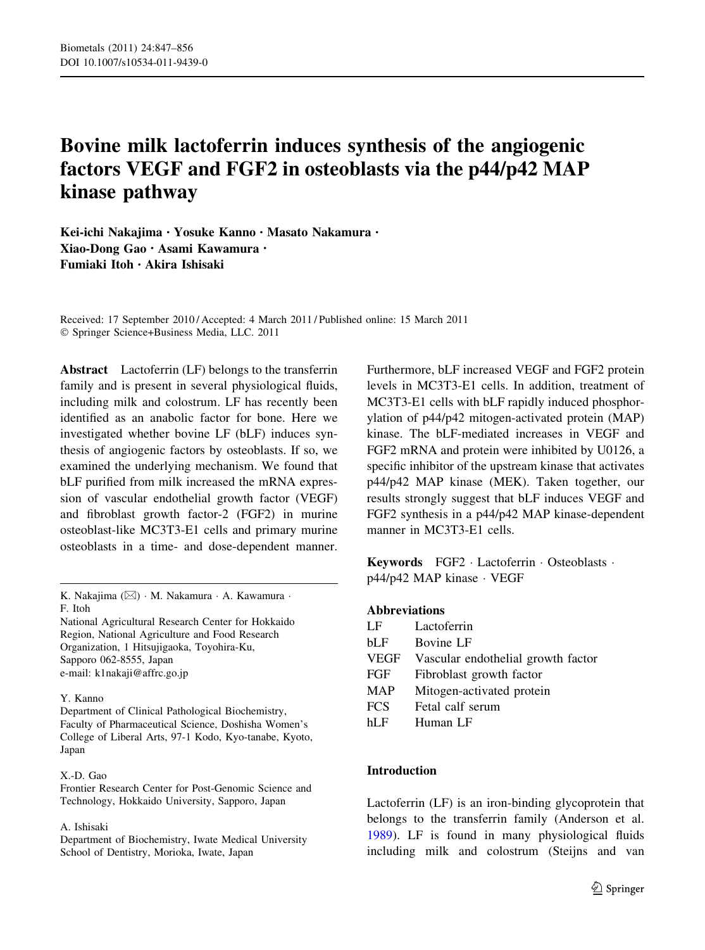# Bovine milk lactoferrin induces synthesis of the angiogenic factors VEGF and FGF2 in osteoblasts via the p44/p42 MAP kinase pathway

Kei-ichi Nakajima • Yosuke Kanno • Masato Nakamura • Xiao-Dong Gao • Asami Kawamura • Fumiaki Itoh • Akira Ishisaki

Received: 17 September 2010 / Accepted: 4 March 2011 / Published online: 15 March 2011 - Springer Science+Business Media, LLC. 2011

Abstract Lactoferrin (LF) belongs to the transferrin family and is present in several physiological fluids, including milk and colostrum. LF has recently been identified as an anabolic factor for bone. Here we investigated whether bovine LF (bLF) induces synthesis of angiogenic factors by osteoblasts. If so, we examined the underlying mechanism. We found that bLF purified from milk increased the mRNA expression of vascular endothelial growth factor (VEGF) and fibroblast growth factor-2 (FGF2) in murine osteoblast-like MC3T3-E1 cells and primary murine osteoblasts in a time- and dose-dependent manner.

K. Nakajima (⊠) · M. Nakamura · A. Kawamura · F. Itoh

National Agricultural Research Center for Hokkaido Region, National Agriculture and Food Research Organization, 1 Hitsujigaoka, Toyohira-Ku, Sapporo 062-8555, Japan e-mail: k1nakaji@affrc.go.jp

#### Y. Kanno

Department of Clinical Pathological Biochemistry, Faculty of Pharmaceutical Science, Doshisha Women's College of Liberal Arts, 97-1 Kodo, Kyo-tanabe, Kyoto, Japan

#### X.-D. Gao

Frontier Research Center for Post-Genomic Science and Technology, Hokkaido University, Sapporo, Japan

#### A. Ishisaki

Department of Biochemistry, Iwate Medical University School of Dentistry, Morioka, Iwate, Japan

Furthermore, bLF increased VEGF and FGF2 protein levels in MC3T3-E1 cells. In addition, treatment of MC3T3-E1 cells with bLF rapidly induced phosphorylation of p44/p42 mitogen-activated protein (MAP) kinase. The bLF-mediated increases in VEGF and FGF2 mRNA and protein were inhibited by U0126, a specific inhibitor of the upstream kinase that activates p44/p42 MAP kinase (MEK). Taken together, our results strongly suggest that bLF induces VEGF and FGF2 synthesis in a p44/p42 MAP kinase-dependent manner in MC3T3-E1 cells.

Keywords FGF2 · Lactoferrin · Osteoblasts · p44/p42 MAP kinase - VEGF

## Abbreviations

| LF          | Lactoferrin                        |
|-------------|------------------------------------|
| bL F        | <b>Bovine LF</b>                   |
| <b>VEGF</b> | Vascular endothelial growth factor |
| FGF         | Fibroblast growth factor           |
| <b>MAP</b>  | Mitogen-activated protein          |
| <b>FCS</b>  | Fetal calf serum                   |
| hI F        | Human LF                           |
|             |                                    |

# **Introduction**

Lactoferrin (LF) is an iron-binding glycoprotein that belongs to the transferrin family (Anderson et al. [1989\)](#page-7-0). LF is found in many physiological fluids including milk and colostrum (Steijns and van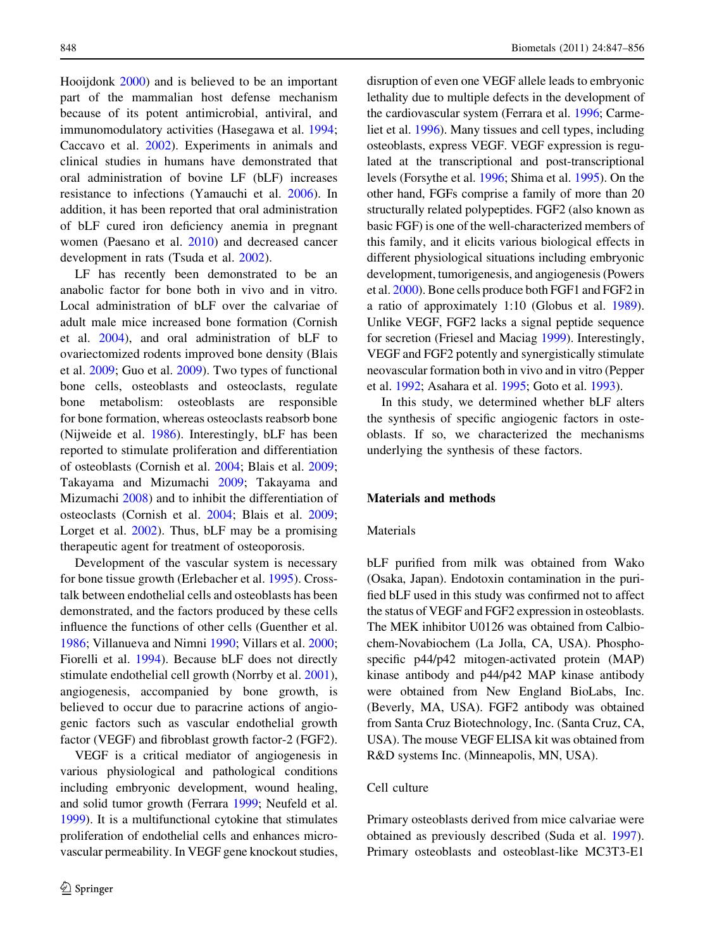Hooijdonk [2000](#page-9-0)) and is believed to be an important part of the mammalian host defense mechanism because of its potent antimicrobial, antiviral, and immunomodulatory activities (Hasegawa et al. [1994](#page-8-0); Caccavo et al. [2002\)](#page-7-0). Experiments in animals and clinical studies in humans have demonstrated that oral administration of bovine LF (bLF) increases resistance to infections (Yamauchi et al. [2006](#page-9-0)). In addition, it has been reported that oral administration of bLF cured iron deficiency anemia in pregnant women (Paesano et al. [2010](#page-8-0)) and decreased cancer development in rats (Tsuda et al. [2002\)](#page-9-0).

LF has recently been demonstrated to be an anabolic factor for bone both in vivo and in vitro. Local administration of bLF over the calvariae of adult male mice increased bone formation (Cornish et al. [2004\)](#page-7-0), and oral administration of bLF to ovariectomized rodents improved bone density (Blais et al. [2009](#page-7-0); Guo et al. [2009](#page-8-0)). Two types of functional bone cells, osteoblasts and osteoclasts, regulate bone metabolism: osteoblasts are responsible for bone formation, whereas osteoclasts reabsorb bone (Nijweide et al. [1986\)](#page-8-0). Interestingly, bLF has been reported to stimulate proliferation and differentiation of osteoblasts (Cornish et al. [2004;](#page-7-0) Blais et al. [2009](#page-7-0); Takayama and Mizumachi [2009](#page-9-0); Takayama and Mizumachi [2008](#page-9-0)) and to inhibit the differentiation of osteoclasts (Cornish et al. [2004;](#page-7-0) Blais et al. [2009](#page-7-0); Lorget et al. [2002](#page-8-0)). Thus, bLF may be a promising therapeutic agent for treatment of osteoporosis.

Development of the vascular system is necessary for bone tissue growth (Erlebacher et al. [1995](#page-8-0)). Crosstalk between endothelial cells and osteoblasts has been demonstrated, and the factors produced by these cells influence the functions of other cells (Guenther et al. [1986;](#page-8-0) Villanueva and Nimni [1990;](#page-9-0) Villars et al. [2000](#page-9-0); Fiorelli et al. [1994](#page-8-0)). Because bLF does not directly stimulate endothelial cell growth (Norrby et al. [2001](#page-8-0)), angiogenesis, accompanied by bone growth, is believed to occur due to paracrine actions of angiogenic factors such as vascular endothelial growth factor (VEGF) and fibroblast growth factor-2 (FGF2).

VEGF is a critical mediator of angiogenesis in various physiological and pathological conditions including embryonic development, wound healing, and solid tumor growth (Ferrara [1999](#page-8-0); Neufeld et al. [1999](#page-8-0)). It is a multifunctional cytokine that stimulates proliferation of endothelial cells and enhances microvascular permeability. In VEGF gene knockout studies, disruption of even one VEGF allele leads to embryonic lethality due to multiple defects in the development of the cardiovascular system (Ferrara et al. [1996](#page-8-0); Carmeliet et al. [1996](#page-7-0)). Many tissues and cell types, including osteoblasts, express VEGF. VEGF expression is regulated at the transcriptional and post-transcriptional levels (Forsythe et al. [1996;](#page-8-0) Shima et al. [1995\)](#page-9-0). On the other hand, FGFs comprise a family of more than 20 structurally related polypeptides. FGF2 (also known as basic FGF) is one of the well-characterized members of this family, and it elicits various biological effects in different physiological situations including embryonic development, tumorigenesis, and angiogenesis (Powers et al. [2000\)](#page-8-0). Bone cells produce both FGF1 and FGF2 in a ratio of approximately 1:10 (Globus et al. [1989\)](#page-8-0). Unlike VEGF, FGF2 lacks a signal peptide sequence for secretion (Friesel and Maciag [1999\)](#page-8-0). Interestingly, VEGF and FGF2 potently and synergistically stimulate neovascular formation both in vivo and in vitro (Pepper et al. [1992;](#page-8-0) Asahara et al. [1995;](#page-7-0) Goto et al. [1993\)](#page-8-0).

In this study, we determined whether bLF alters the synthesis of specific angiogenic factors in osteoblasts. If so, we characterized the mechanisms underlying the synthesis of these factors.

# Materials and methods

#### Materials

bLF purified from milk was obtained from Wako (Osaka, Japan). Endotoxin contamination in the purified bLF used in this study was confirmed not to affect the status of VEGF and FGF2 expression in osteoblasts. The MEK inhibitor U0126 was obtained from Calbiochem-Novabiochem (La Jolla, CA, USA). Phosphospecific p44/p42 mitogen-activated protein (MAP) kinase antibody and p44/p42 MAP kinase antibody were obtained from New England BioLabs, Inc. (Beverly, MA, USA). FGF2 antibody was obtained from Santa Cruz Biotechnology, Inc. (Santa Cruz, CA, USA). The mouse VEGF ELISA kit was obtained from R&D systems Inc. (Minneapolis, MN, USA).

#### Cell culture

Primary osteoblasts derived from mice calvariae were obtained as previously described (Suda et al. [1997](#page-9-0)). Primary osteoblasts and osteoblast-like MC3T3-E1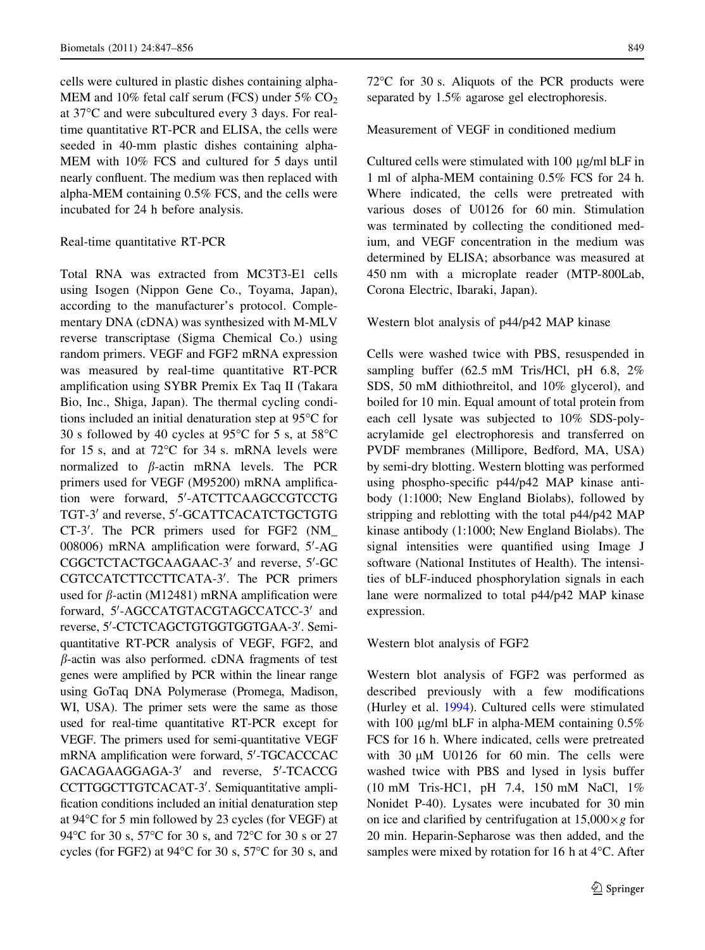cells were cultured in plastic dishes containing alpha-MEM and 10% fetal calf serum (FCS) under  $5\%$  CO<sub>2</sub> at 37C and were subcultured every 3 days. For realtime quantitative RT-PCR and ELISA, the cells were seeded in 40-mm plastic dishes containing alpha-MEM with 10% FCS and cultured for 5 days until nearly confluent. The medium was then replaced with alpha-MEM containing 0.5% FCS, and the cells were incubated for 24 h before analysis.

#### Real-time quantitative RT-PCR

Total RNA was extracted from MC3T3-E1 cells using Isogen (Nippon Gene Co., Toyama, Japan), according to the manufacturer's protocol. Complementary DNA (cDNA) was synthesized with M-MLV reverse transcriptase (Sigma Chemical Co.) using random primers. VEGF and FGF2 mRNA expression was measured by real-time quantitative RT-PCR amplification using SYBR Premix Ex Taq II (Takara Bio, Inc., Shiga, Japan). The thermal cycling conditions included an initial denaturation step at  $95^{\circ}$ C for 30 s followed by 40 cycles at 95 $\degree$ C for 5 s, at 58 $\degree$ C for 15 s, and at  $72^{\circ}$ C for 34 s. mRNA levels were normalized to  $\beta$ -actin mRNA levels. The PCR primers used for VEGF (M95200) mRNA amplification were forward, 5'-ATCTTCAAGCCGTCCTG TGT-3' and reverse, 5'-GCATTCACATCTGCTGTG CT-3'. The PCR primers used for FGF2 (NM\_ 008006) mRNA amplification were forward, 5'-AG CGGCTCTACTGCAAGAAC-3' and reverse, 5'-GC CGTCCATCTTCCTTCATA-3'. The PCR primers used for  $\beta$ -actin (M12481) mRNA amplification were forward, 5'-AGCCATGTACGTAGCCATCC-3' and reverse, 5'-CTCTCAGCTGTGGTGGTGAA-3'. Semiquantitative RT-PCR analysis of VEGF, FGF2, and  $\beta$ -actin was also performed. cDNA fragments of test genes were amplified by PCR within the linear range using GoTaq DNA Polymerase (Promega, Madison, WI, USA). The primer sets were the same as those used for real-time quantitative RT-PCR except for VEGF. The primers used for semi-quantitative VEGF mRNA amplification were forward, 5'-TGCACCCAC GACAGAAGGAGA-3<sup>'</sup> and reverse, 5'-TCACCG CCTTGGCTTGTCACAT-3'. Semiquantitative amplification conditions included an initial denaturation step at  $94^{\circ}$ C for 5 min followed by 23 cycles (for VEGF) at 94°C for 30 s, 57°C for 30 s, and 72°C for 30 s or 27 cycles (for FGF2) at  $94^{\circ}$ C for 30 s, 57 $^{\circ}$ C for 30 s, and  $72^{\circ}$ C for 30 s. Aliquots of the PCR products were separated by 1.5% agarose gel electrophoresis.

## Measurement of VEGF in conditioned medium

Cultured cells were stimulated with  $100 \mu g/ml bLF$  in 1 ml of alpha-MEM containing 0.5% FCS for 24 h. Where indicated, the cells were pretreated with various doses of U0126 for 60 min. Stimulation was terminated by collecting the conditioned medium, and VEGF concentration in the medium was determined by ELISA; absorbance was measured at 450 nm with a microplate reader (MTP-800Lab, Corona Electric, Ibaraki, Japan).

#### Western blot analysis of p44/p42 MAP kinase

Cells were washed twice with PBS, resuspended in sampling buffer (62.5 mM Tris/HCl, pH 6.8, 2% SDS, 50 mM dithiothreitol, and 10% glycerol), and boiled for 10 min. Equal amount of total protein from each cell lysate was subjected to 10% SDS-polyacrylamide gel electrophoresis and transferred on PVDF membranes (Millipore, Bedford, MA, USA) by semi-dry blotting. Western blotting was performed using phospho-specific p44/p42 MAP kinase antibody (1:1000; New England Biolabs), followed by stripping and reblotting with the total p44/p42 MAP kinase antibody (1:1000; New England Biolabs). The signal intensities were quantified using Image J software (National Institutes of Health). The intensities of bLF-induced phosphorylation signals in each lane were normalized to total p44/p42 MAP kinase expression.

## Western blot analysis of FGF2

Western blot analysis of FGF2 was performed as described previously with a few modifications (Hurley et al. [1994](#page-8-0)). Cultured cells were stimulated with 100  $\mu$ g/ml bLF in alpha-MEM containing 0.5% FCS for 16 h. Where indicated, cells were pretreated with  $30 \mu M$  U0126 for 60 min. The cells were washed twice with PBS and lysed in lysis buffer (10 mM Tris-HC1, pH 7.4, 150 mM NaCl, 1% Nonidet P-40). Lysates were incubated for 30 min on ice and clarified by centrifugation at  $15,000 \times g$  for 20 min. Heparin-Sepharose was then added, and the samples were mixed by rotation for 16 h at  $4^{\circ}$ C. After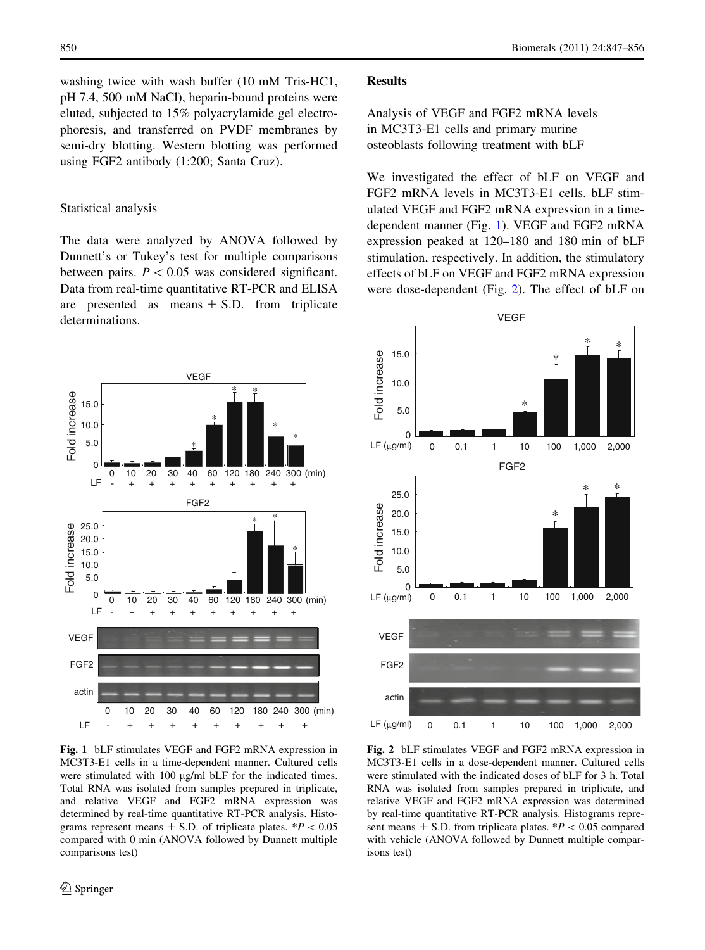washing twice with wash buffer (10 mM Tris-HC1, pH 7.4, 500 mM NaCl), heparin-bound proteins were eluted, subjected to 15% polyacrylamide gel electrophoresis, and transferred on PVDF membranes by semi-dry blotting. Western blotting was performed using FGF2 antibody (1:200; Santa Cruz).

#### Statistical analysis

The data were analyzed by ANOVA followed by Dunnett's or Tukey's test for multiple comparisons between pairs.  $P < 0.05$  was considered significant. Data from real-time quantitative RT-PCR and ELISA are presented as means  $\pm$  S.D. from triplicate determinations.



Fig. 1 bLF stimulates VEGF and FGF2 mRNA expression in MC3T3-E1 cells in a time-dependent manner. Cultured cells were stimulated with  $100 \mu g/ml$  bLF for the indicated times. Total RNA was isolated from samples prepared in triplicate, and relative VEGF and FGF2 mRNA expression was determined by real-time quantitative RT-PCR analysis. Histograms represent means  $\pm$  S.D. of triplicate plates. \* $P < 0.05$ compared with 0 min (ANOVA followed by Dunnett multiple comparisons test)

## Results

Analysis of VEGF and FGF2 mRNA levels in MC3T3-E1 cells and primary murine osteoblasts following treatment with bLF

We investigated the effect of bLF on VEGF and FGF2 mRNA levels in MC3T3-E1 cells. bLF stimulated VEGF and FGF2 mRNA expression in a timedependent manner (Fig. 1). VEGF and FGF2 mRNA expression peaked at 120–180 and 180 min of bLF stimulation, respectively. In addition, the stimulatory effects of bLF on VEGF and FGF2 mRNA expression were dose-dependent (Fig. 2). The effect of bLF on



Fig. 2 bLF stimulates VEGF and FGF2 mRNA expression in MC3T3-E1 cells in a dose-dependent manner. Cultured cells were stimulated with the indicated doses of bLF for 3 h. Total RNA was isolated from samples prepared in triplicate, and relative VEGF and FGF2 mRNA expression was determined by real-time quantitative RT-PCR analysis. Histograms represent means  $\pm$  S.D. from triplicate plates. \* $P$  < 0.05 compared with vehicle (ANOVA followed by Dunnett multiple comparisons test)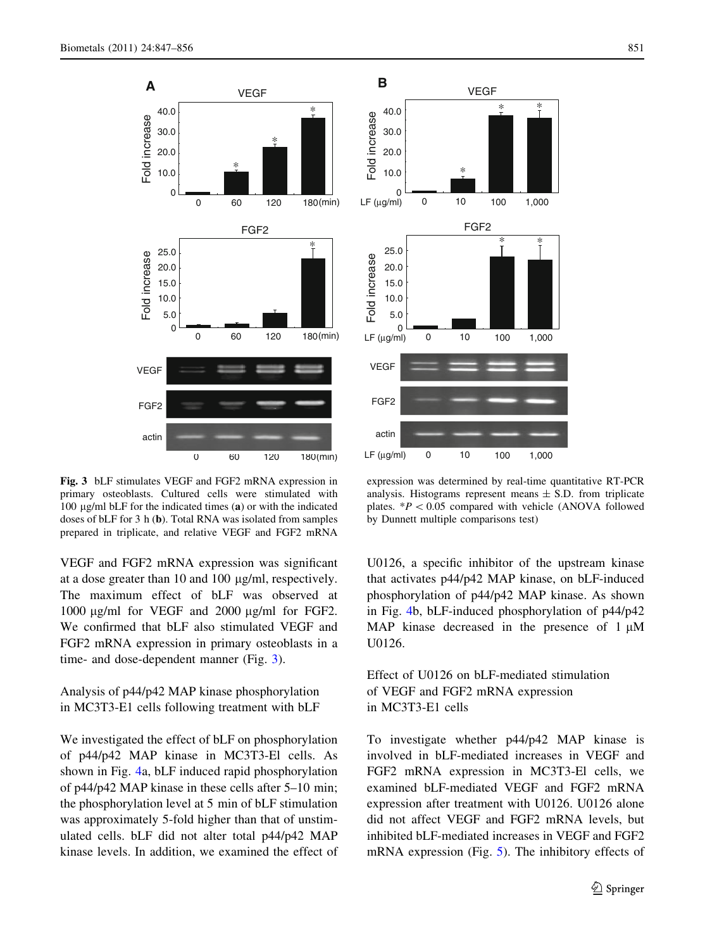

Fig. 3 bLF stimulates VEGF and FGF2 mRNA expression in primary osteoblasts. Cultured cells were stimulated with 100  $\mu$ g/ml bLF for the indicated times (a) or with the indicated doses of bLF for 3 h (b). Total RNA was isolated from samples prepared in triplicate, and relative VEGF and FGF2 mRNA

VEGF and FGF2 mRNA expression was significant at a dose greater than  $10$  and  $100 \mu g/ml$ , respectively. The maximum effect of bLF was observed at 1000  $\mu$ g/ml for VEGF and 2000  $\mu$ g/ml for FGF2. We confirmed that bLF also stimulated VEGF and FGF2 mRNA expression in primary osteoblasts in a time- and dose-dependent manner (Fig. 3).

Analysis of p44/p42 MAP kinase phosphorylation in MC3T3-E1 cells following treatment with bLF

We investigated the effect of bLF on phosphorylation of p44/p42 MAP kinase in MC3T3-El cells. As shown in Fig. [4](#page-5-0)a, bLF induced rapid phosphorylation of p44/p42 MAP kinase in these cells after 5–10 min; the phosphorylation level at 5 min of bLF stimulation was approximately 5-fold higher than that of unstimulated cells. bLF did not alter total p44/p42 MAP kinase levels. In addition, we examined the effect of



expression was determined by real-time quantitative RT-PCR analysis. Histograms represent means  $\pm$  S.D. from triplicate plates.  $*P < 0.05$  compared with vehicle (ANOVA followed by Dunnett multiple comparisons test)

U0126, a specific inhibitor of the upstream kinase that activates p44/p42 MAP kinase, on bLF-induced phosphorylation of p44/p42 MAP kinase. As shown in Fig. [4](#page-5-0)b, bLF-induced phosphorylation of p44/p42 MAP kinase decreased in the presence of  $1 \mu$ M U0126.

Effect of U0126 on bLF-mediated stimulation of VEGF and FGF2 mRNA expression in MC3T3-E1 cells

To investigate whether p44/p42 MAP kinase is involved in bLF-mediated increases in VEGF and FGF2 mRNA expression in MC3T3-El cells, we examined bLF-mediated VEGF and FGF2 mRNA expression after treatment with U0126. U0126 alone did not affect VEGF and FGF2 mRNA levels, but inhibited bLF-mediated increases in VEGF and FGF2 mRNA expression (Fig. [5\)](#page-6-0). The inhibitory effects of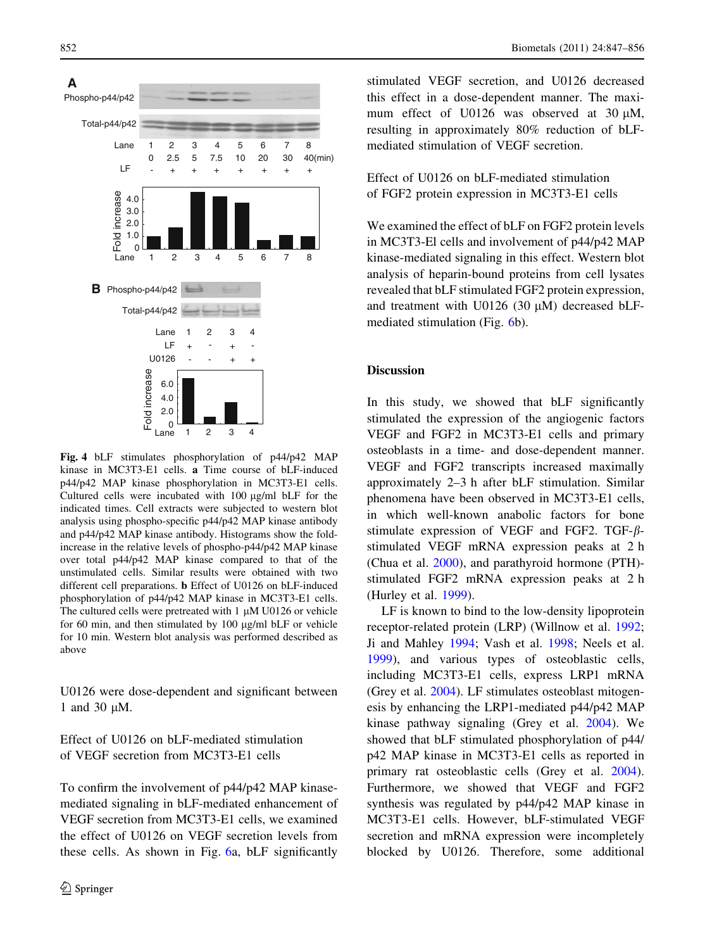<span id="page-5-0"></span>

Fig. 4 bLF stimulates phosphorylation of p44/p42 MAP kinase in MC3T3-E1 cells. a Time course of bLF-induced p44/p42 MAP kinase phosphorylation in MC3T3-E1 cells. Cultured cells were incubated with  $100 \mu g/ml$  bLF for the indicated times. Cell extracts were subjected to western blot analysis using phospho-specific p44/p42 MAP kinase antibody and p44/p42 MAP kinase antibody. Histograms show the foldincrease in the relative levels of phospho-p44/p42 MAP kinase over total p44/p42 MAP kinase compared to that of the unstimulated cells. Similar results were obtained with two different cell preparations. b Effect of U0126 on bLF-induced phosphorylation of p44/p42 MAP kinase in MC3T3-E1 cells. The cultured cells were pretreated with  $1 \mu M$  U0126 or vehicle for 60 min, and then stimulated by  $100 \mu g/ml$  bLF or vehicle for 10 min. Western blot analysis was performed described as above

U0126 were dose-dependent and significant between 1 and 30 µM.

Effect of U0126 on bLF-mediated stimulation of VEGF secretion from MC3T3-E1 cells

To confirm the involvement of p44/p42 MAP kinasemediated signaling in bLF-mediated enhancement of VEGF secretion from MC3T3-E1 cells, we examined the effect of U0126 on VEGF secretion levels from these cells. As shown in Fig. [6a](#page-7-0), bLF significantly

stimulated VEGF secretion, and U0126 decreased this effect in a dose-dependent manner. The maximum effect of U0126 was observed at 30  $\mu$ M, resulting in approximately 80% reduction of bLFmediated stimulation of VEGF secretion.

Effect of U0126 on bLF-mediated stimulation of FGF2 protein expression in MC3T3-E1 cells

We examined the effect of bLF on FGF2 protein levels in MC3T3-El cells and involvement of p44/p42 MAP kinase-mediated signaling in this effect. Western blot analysis of heparin-bound proteins from cell lysates revealed that bLF stimulated FGF2 protein expression, and treatment with U0126 (30  $\mu$ M) decreased bLFmediated stimulation (Fig. [6b](#page-7-0)).

#### **Discussion**

In this study, we showed that bLF significantly stimulated the expression of the angiogenic factors VEGF and FGF2 in MC3T3-E1 cells and primary osteoblasts in a time- and dose-dependent manner. VEGF and FGF2 transcripts increased maximally approximately 2–3 h after bLF stimulation. Similar phenomena have been observed in MC3T3-E1 cells, in which well-known anabolic factors for bone stimulate expression of VEGF and FGF2. TGF- $\beta$ stimulated VEGF mRNA expression peaks at 2 h (Chua et al. [2000](#page-7-0)), and parathyroid hormone (PTH) stimulated FGF2 mRNA expression peaks at 2 h (Hurley et al. [1999\)](#page-8-0).

LF is known to bind to the low-density lipoprotein receptor-related protein (LRP) (Willnow et al. [1992](#page-9-0); Ji and Mahley [1994;](#page-8-0) Vash et al. [1998](#page-9-0); Neels et al. [1999\)](#page-8-0), and various types of osteoblastic cells, including MC3T3-E1 cells, express LRP1 mRNA (Grey et al. [2004](#page-8-0)). LF stimulates osteoblast mitogenesis by enhancing the LRP1-mediated p44/p42 MAP kinase pathway signaling (Grey et al. [2004\)](#page-8-0). We showed that bLF stimulated phosphorylation of p44/ p42 MAP kinase in MC3T3-E1 cells as reported in primary rat osteoblastic cells (Grey et al. [2004](#page-8-0)). Furthermore, we showed that VEGF and FGF2 synthesis was regulated by p44/p42 MAP kinase in MC3T3-E1 cells. However, bLF-stimulated VEGF secretion and mRNA expression were incompletely blocked by U0126. Therefore, some additional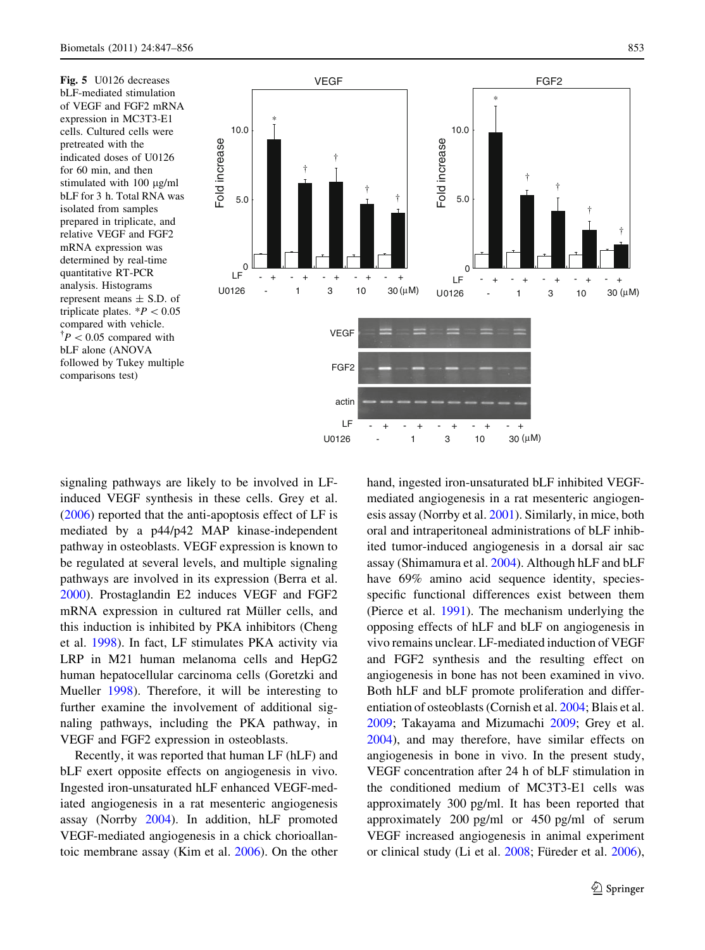<span id="page-6-0"></span>Fig. 5 U0126 decreases bLF-mediated stimulation of VEGF and FGF2 mRNA expression in MC3T3-E1 cells. Cultured cells were pretreated with the indicated doses of U0126 for 60 min, and then stimulated with  $100 \mu g/ml$ bLF for 3 h. Total RNA was isolated from samples prepared in triplicate, and relative VEGF and FGF2 mRNA expression was determined by real-time quantitative RT-PCR analysis. Histograms represent means  $\pm$  S.D. of triplicate plates.  $*P < 0.05$ compared with vehicle.  $\mathcal{P}$  < 0.05 compared with bLF alone (ANOVA followed by Tukey multiple comparisons test)



signaling pathways are likely to be involved in LFinduced VEGF synthesis in these cells. Grey et al. [\(2006](#page-8-0)) reported that the anti-apoptosis effect of LF is mediated by a p44/p42 MAP kinase-independent pathway in osteoblasts. VEGF expression is known to be regulated at several levels, and multiple signaling pathways are involved in its expression (Berra et al. [2000\)](#page-7-0). Prostaglandin E2 induces VEGF and FGF2 mRNA expression in cultured rat Müller cells, and this induction is inhibited by PKA inhibitors (Cheng et al. [1998\)](#page-7-0). In fact, LF stimulates PKA activity via LRP in M21 human melanoma cells and HepG2 human hepatocellular carcinoma cells (Goretzki and Mueller [1998](#page-8-0)). Therefore, it will be interesting to further examine the involvement of additional signaling pathways, including the PKA pathway, in VEGF and FGF2 expression in osteoblasts.

Recently, it was reported that human LF (hLF) and bLF exert opposite effects on angiogenesis in vivo. Ingested iron-unsaturated hLF enhanced VEGF-mediated angiogenesis in a rat mesenteric angiogenesis assay (Norrby [2004\)](#page-8-0). In addition, hLF promoted VEGF-mediated angiogenesis in a chick chorioallantoic membrane assay (Kim et al. [2006](#page-8-0)). On the other hand, ingested iron-unsaturated bLF inhibited VEGFmediated angiogenesis in a rat mesenteric angiogenesis assay (Norrby et al. [2001\)](#page-8-0). Similarly, in mice, both oral and intraperitoneal administrations of bLF inhibited tumor-induced angiogenesis in a dorsal air sac assay (Shimamura et al. [2004\)](#page-9-0). Although hLF and bLF have 69% amino acid sequence identity, speciesspecific functional differences exist between them (Pierce et al. [1991](#page-8-0)). The mechanism underlying the opposing effects of hLF and bLF on angiogenesis in vivo remains unclear. LF-mediated induction of VEGF and FGF2 synthesis and the resulting effect on angiogenesis in bone has not been examined in vivo. Both hLF and bLF promote proliferation and differentiation of osteoblasts (Cornish et al. [2004;](#page-7-0) Blais et al. [2009;](#page-7-0) Takayama and Mizumachi [2009](#page-9-0); Grey et al. [2004\)](#page-8-0), and may therefore, have similar effects on angiogenesis in bone in vivo. In the present study, VEGF concentration after 24 h of bLF stimulation in the conditioned medium of MC3T3-E1 cells was approximately 300 pg/ml. It has been reported that approximately 200 pg/ml or 450 pg/ml of serum VEGF increased angiogenesis in animal experiment or clinical study (Li et al. [2008;](#page-8-0) Füreder et al. [2006\)](#page-8-0),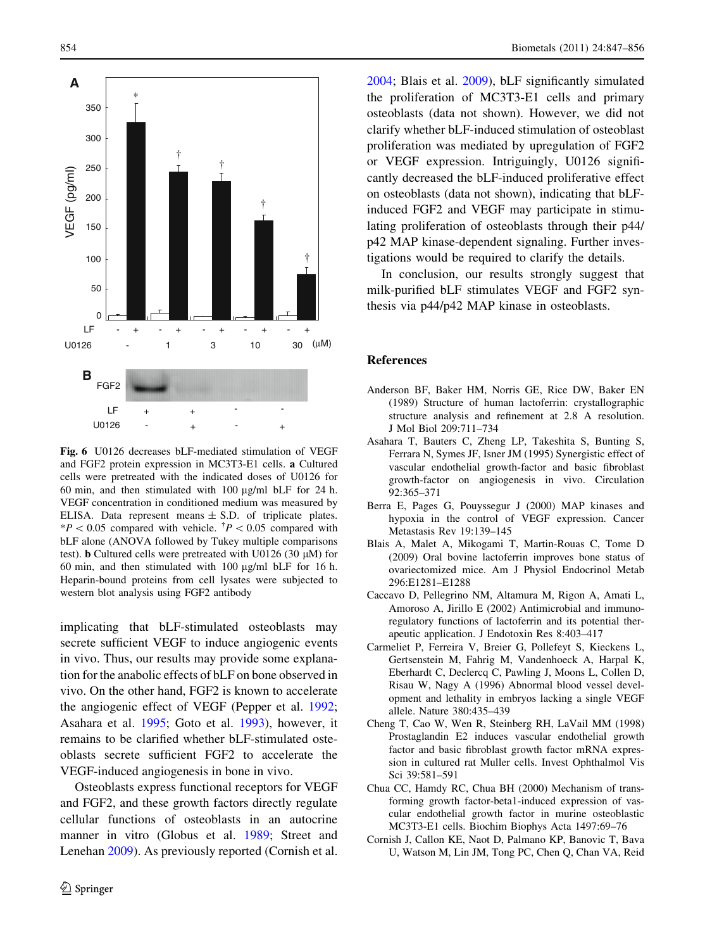<span id="page-7-0"></span>

Fig. 6 U0126 decreases bLF-mediated stimulation of VEGF and FGF2 protein expression in MC3T3-E1 cells. a Cultured cells were pretreated with the indicated doses of U0126 for 60 min, and then stimulated with  $100 \mu g/ml$  bLF for 24 h. VEGF concentration in conditioned medium was measured by ELISA. Data represent means  $\pm$  S.D. of triplicate plates.  $*P < 0.05$  compared with vehicle.  $\frac{1}{P} < 0.05$  compared with bLF alone (ANOVA followed by Tukey multiple comparisons test). **b** Cultured cells were pretreated with U0126 (30  $\mu$ M) for 60 min, and then stimulated with  $100 \mu g/ml$  bLF for 16 h. Heparin-bound proteins from cell lysates were subjected to western blot analysis using FGF2 antibody

implicating that bLF-stimulated osteoblasts may secrete sufficient VEGF to induce angiogenic events in vivo. Thus, our results may provide some explanation for the anabolic effects of bLF on bone observed in vivo. On the other hand, FGF2 is known to accelerate the angiogenic effect of VEGF (Pepper et al. [1992](#page-8-0); Asahara et al. 1995; Goto et al. [1993\)](#page-8-0), however, it remains to be clarified whether bLF-stimulated osteoblasts secrete sufficient FGF2 to accelerate the VEGF-induced angiogenesis in bone in vivo.

Osteoblasts express functional receptors for VEGF and FGF2, and these growth factors directly regulate cellular functions of osteoblasts in an autocrine manner in vitro (Globus et al. [1989](#page-8-0); Street and Lenehan [2009\)](#page-9-0). As previously reported (Cornish et al. 2004; Blais et al. 2009), bLF significantly simulated the proliferation of MC3T3-E1 cells and primary osteoblasts (data not shown). However, we did not clarify whether bLF-induced stimulation of osteoblast proliferation was mediated by upregulation of FGF2 or VEGF expression. Intriguingly, U0126 significantly decreased the bLF-induced proliferative effect on osteoblasts (data not shown), indicating that bLFinduced FGF2 and VEGF may participate in stimulating proliferation of osteoblasts through their p44/ p42 MAP kinase-dependent signaling. Further investigations would be required to clarify the details.

In conclusion, our results strongly suggest that milk-purified bLF stimulates VEGF and FGF2 synthesis via p44/p42 MAP kinase in osteoblasts.

#### References

- Anderson BF, Baker HM, Norris GE, Rice DW, Baker EN (1989) Structure of human lactoferrin: crystallographic structure analysis and refinement at 2.8 A resolution. J Mol Biol 209:711–734
- Asahara T, Bauters C, Zheng LP, Takeshita S, Bunting S, Ferrara N, Symes JF, Isner JM (1995) Synergistic effect of vascular endothelial growth-factor and basic fibroblast growth-factor on angiogenesis in vivo. Circulation 92:365–371
- Berra E, Pages G, Pouyssegur J (2000) MAP kinases and hypoxia in the control of VEGF expression. Cancer Metastasis Rev 19:139–145
- Blais A, Malet A, Mikogami T, Martin-Rouas C, Tome D (2009) Oral bovine lactoferrin improves bone status of ovariectomized mice. Am J Physiol Endocrinol Metab 296:E1281–E1288
- Caccavo D, Pellegrino NM, Altamura M, Rigon A, Amati L, Amoroso A, Jirillo E (2002) Antimicrobial and immunoregulatory functions of lactoferrin and its potential therapeutic application. J Endotoxin Res 8:403–417
- Carmeliet P, Ferreira V, Breier G, Pollefeyt S, Kieckens L, Gertsenstein M, Fahrig M, Vandenhoeck A, Harpal K, Eberhardt C, Declercq C, Pawling J, Moons L, Collen D, Risau W, Nagy A (1996) Abnormal blood vessel development and lethality in embryos lacking a single VEGF allele. Nature 380:435–439
- Cheng T, Cao W, Wen R, Steinberg RH, LaVail MM (1998) Prostaglandin E2 induces vascular endothelial growth factor and basic fibroblast growth factor mRNA expression in cultured rat Muller cells. Invest Ophthalmol Vis Sci 39:581–591
- Chua CC, Hamdy RC, Chua BH (2000) Mechanism of transforming growth factor-beta1-induced expression of vascular endothelial growth factor in murine osteoblastic MC3T3-E1 cells. Biochim Biophys Acta 1497:69–76
- Cornish J, Callon KE, Naot D, Palmano KP, Banovic T, Bava U, Watson M, Lin JM, Tong PC, Chen Q, Chan VA, Reid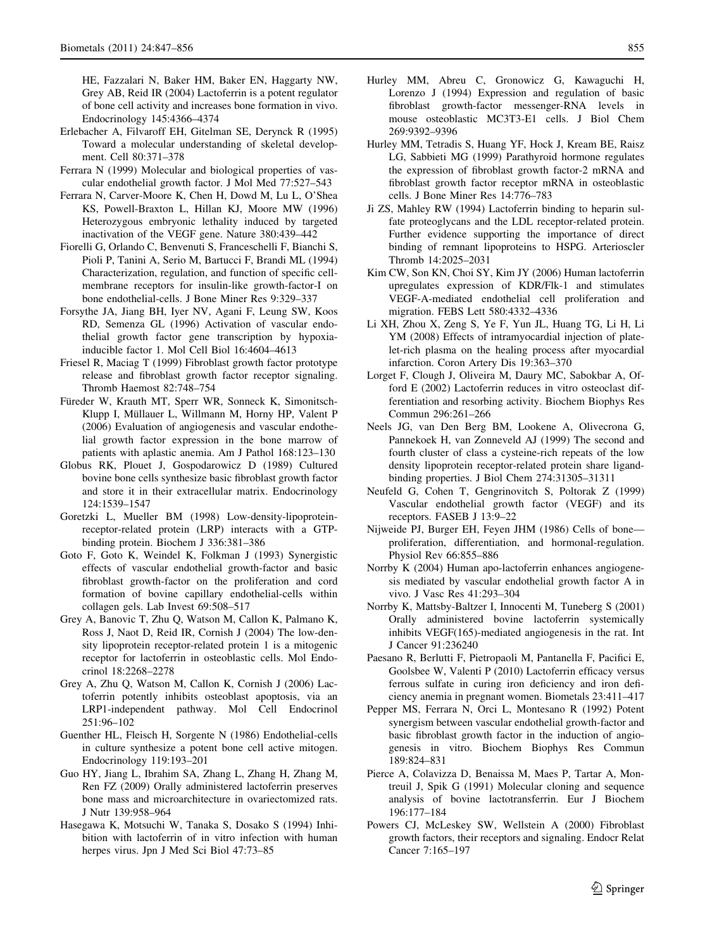<span id="page-8-0"></span>HE, Fazzalari N, Baker HM, Baker EN, Haggarty NW, Grey AB, Reid IR (2004) Lactoferrin is a potent regulator of bone cell activity and increases bone formation in vivo. Endocrinology 145:4366–4374

- Erlebacher A, Filvaroff EH, Gitelman SE, Derynck R (1995) Toward a molecular understanding of skeletal development. Cell 80:371–378
- Ferrara N (1999) Molecular and biological properties of vascular endothelial growth factor. J Mol Med 77:527–543
- Ferrara N, Carver-Moore K, Chen H, Dowd M, Lu L, O'Shea KS, Powell-Braxton L, Hillan KJ, Moore MW (1996) Heterozygous embryonic lethality induced by targeted inactivation of the VEGF gene. Nature 380:439–442
- Fiorelli G, Orlando C, Benvenuti S, Franceschelli F, Bianchi S, Pioli P, Tanini A, Serio M, Bartucci F, Brandi ML (1994) Characterization, regulation, and function of specific cellmembrane receptors for insulin-like growth-factor-I on bone endothelial-cells. J Bone Miner Res 9:329–337
- Forsythe JA, Jiang BH, Iyer NV, Agani F, Leung SW, Koos RD, Semenza GL (1996) Activation of vascular endothelial growth factor gene transcription by hypoxiainducible factor 1. Mol Cell Biol 16:4604–4613
- Friesel R, Maciag T (1999) Fibroblast growth factor prototype release and fibroblast growth factor receptor signaling. Thromb Haemost 82:748–754
- Füreder W, Krauth MT, Sperr WR, Sonneck K, Simonitsch-Klupp I, Müllauer L, Willmann M, Horny HP, Valent P (2006) Evaluation of angiogenesis and vascular endothelial growth factor expression in the bone marrow of patients with aplastic anemia. Am J Pathol 168:123–130
- Globus RK, Plouet J, Gospodarowicz D (1989) Cultured bovine bone cells synthesize basic fibroblast growth factor and store it in their extracellular matrix. Endocrinology 124:1539–1547
- Goretzki L, Mueller BM (1998) Low-density-lipoproteinreceptor-related protein (LRP) interacts with a GTPbinding protein. Biochem J 336:381–386
- Goto F, Goto K, Weindel K, Folkman J (1993) Synergistic effects of vascular endothelial growth-factor and basic fibroblast growth-factor on the proliferation and cord formation of bovine capillary endothelial-cells within collagen gels. Lab Invest 69:508–517
- Grey A, Banovic T, Zhu Q, Watson M, Callon K, Palmano K, Ross J, Naot D, Reid IR, Cornish J (2004) The low-density lipoprotein receptor-related protein 1 is a mitogenic receptor for lactoferrin in osteoblastic cells. Mol Endocrinol 18:2268–2278
- Grey A, Zhu Q, Watson M, Callon K, Cornish J (2006) Lactoferrin potently inhibits osteoblast apoptosis, via an LRP1-independent pathway. Mol Cell Endocrinol 251:96–102
- Guenther HL, Fleisch H, Sorgente N (1986) Endothelial-cells in culture synthesize a potent bone cell active mitogen. Endocrinology 119:193–201
- Guo HY, Jiang L, Ibrahim SA, Zhang L, Zhang H, Zhang M, Ren FZ (2009) Orally administered lactoferrin preserves bone mass and microarchitecture in ovariectomized rats. J Nutr 139:958–964
- Hasegawa K, Motsuchi W, Tanaka S, Dosako S (1994) Inhibition with lactoferrin of in vitro infection with human herpes virus. Jpn J Med Sci Biol 47:73–85
- Hurley MM, Abreu C, Gronowicz G, Kawaguchi H, Lorenzo J (1994) Expression and regulation of basic fibroblast growth-factor messenger-RNA levels in mouse osteoblastic MC3T3-E1 cells. J Biol Chem 269:9392–9396
- Hurley MM, Tetradis S, Huang YF, Hock J, Kream BE, Raisz LG, Sabbieti MG (1999) Parathyroid hormone regulates the expression of fibroblast growth factor-2 mRNA and fibroblast growth factor receptor mRNA in osteoblastic cells. J Bone Miner Res 14:776–783
- Ji ZS, Mahley RW (1994) Lactoferrin binding to heparin sulfate proteoglycans and the LDL receptor-related protein. Further evidence supporting the importance of direct binding of remnant lipoproteins to HSPG. Arterioscler Thromb 14:2025–2031
- Kim CW, Son KN, Choi SY, Kim JY (2006) Human lactoferrin upregulates expression of KDR/Flk-1 and stimulates VEGF-A-mediated endothelial cell proliferation and migration. FEBS Lett 580:4332–4336
- Li XH, Zhou X, Zeng S, Ye F, Yun JL, Huang TG, Li H, Li YM (2008) Effects of intramyocardial injection of platelet-rich plasma on the healing process after myocardial infarction. Coron Artery Dis 19:363–370
- Lorget F, Clough J, Oliveira M, Daury MC, Sabokbar A, Offord E (2002) Lactoferrin reduces in vitro osteoclast differentiation and resorbing activity. Biochem Biophys Res Commun 296:261–266
- Neels JG, van Den Berg BM, Lookene A, Olivecrona G, Pannekoek H, van Zonneveld AJ (1999) The second and fourth cluster of class a cysteine-rich repeats of the low density lipoprotein receptor-related protein share ligandbinding properties. J Biol Chem 274:31305–31311
- Neufeld G, Cohen T, Gengrinovitch S, Poltorak Z (1999) Vascular endothelial growth factor (VEGF) and its receptors. FASEB J 13:9–22
- Nijweide PJ, Burger EH, Feyen JHM (1986) Cells of bone proliferation, differentiation, and hormonal-regulation. Physiol Rev 66:855–886
- Norrby K (2004) Human apo-lactoferrin enhances angiogenesis mediated by vascular endothelial growth factor A in vivo. J Vasc Res 41:293–304
- Norrby K, Mattsby-Baltzer I, Innocenti M, Tuneberg S (2001) Orally administered bovine lactoferrin systemically inhibits VEGF(165)-mediated angiogenesis in the rat. Int J Cancer 91:236240
- Paesano R, Berlutti F, Pietropaoli M, Pantanella F, Pacifici E, Goolsbee W, Valenti P (2010) Lactoferrin efficacy versus ferrous sulfate in curing iron deficiency and iron deficiency anemia in pregnant women. Biometals 23:411–417
- Pepper MS, Ferrara N, Orci L, Montesano R (1992) Potent synergism between vascular endothelial growth-factor and basic fibroblast growth factor in the induction of angiogenesis in vitro. Biochem Biophys Res Commun 189:824–831
- Pierce A, Colavizza D, Benaissa M, Maes P, Tartar A, Montreuil J, Spik G (1991) Molecular cloning and sequence analysis of bovine lactotransferrin. Eur J Biochem 196:177–184
- Powers CJ, McLeskey SW, Wellstein A (2000) Fibroblast growth factors, their receptors and signaling. Endocr Relat Cancer 7:165–197